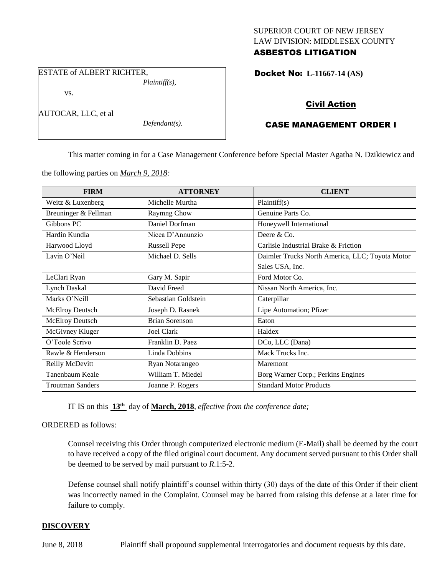## SUPERIOR COURT OF NEW JERSEY LAW DIVISION: MIDDLESEX COUNTY ASBESTOS LITIGATION

ESTATE of ALBERT RICHTER, *Plaintiff(s),*

vs.

AUTOCAR, LLC, et al

*Defendant(s).*

## Docket No: **L-11667-14 (AS)**

# Civil Action

# CASE MANAGEMENT ORDER I

This matter coming in for a Case Management Conference before Special Master Agatha N. Dzikiewicz and

the following parties on *March 9, 2018:*

| <b>FIRM</b>             | <b>ATTORNEY</b>       | <b>CLIENT</b>                                   |
|-------------------------|-----------------------|-------------------------------------------------|
| Weitz & Luxenberg       | Michelle Murtha       | Plaintiff(s)                                    |
| Breuninger & Fellman    | Raymng Chow           | Genuine Parts Co.                               |
| Gibbons PC              | Daniel Dorfman        | Honeywell International                         |
| Hardin Kundla           | Nicea D'Annunzio      | Deere & Co.                                     |
| Harwood Lloyd           | <b>Russell Pepe</b>   | Carlisle Industrial Brake & Friction            |
| Lavin O'Neil            | Michael D. Sells      | Daimler Trucks North America, LLC; Toyota Motor |
|                         |                       | Sales USA, Inc.                                 |
| LeClari Ryan            | Gary M. Sapir         | Ford Motor Co.                                  |
| <b>Lynch Daskal</b>     | David Freed           | Nissan North America, Inc.                      |
| Marks O'Neill           | Sebastian Goldstein   | Caterpillar                                     |
| McElroy Deutsch         | Joseph D. Rasnek      | Lipe Automation; Pfizer                         |
| McElroy Deutsch         | <b>Brian Sorenson</b> | Eaton                                           |
| McGivney Kluger         | <b>Joel Clark</b>     | Haldex                                          |
| O'Toole Scrivo          | Franklin D. Paez      | DCo, LLC (Dana)                                 |
| Rawle & Henderson       | Linda Dobbins         | Mack Trucks Inc.                                |
| Reilly McDevitt         | Ryan Notarangeo       | Maremont                                        |
| Tanenbaum Keale         | William T. Miedel     | Borg Warner Corp.; Perkins Engines              |
| <b>Troutman Sanders</b> | Joanne P. Rogers      | <b>Standard Motor Products</b>                  |

IT IS on this **13th** day of **March, 2018**, *effective from the conference date;*

ORDERED as follows:

Counsel receiving this Order through computerized electronic medium (E-Mail) shall be deemed by the court to have received a copy of the filed original court document. Any document served pursuant to this Order shall be deemed to be served by mail pursuant to *R*.1:5-2.

Defense counsel shall notify plaintiff's counsel within thirty (30) days of the date of this Order if their client was incorrectly named in the Complaint. Counsel may be barred from raising this defense at a later time for failure to comply.

## **DISCOVERY**

June 8, 2018 Plaintiff shall propound supplemental interrogatories and document requests by this date.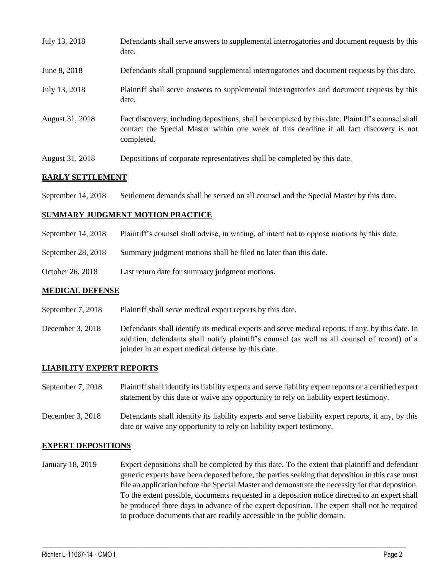| July 13, 2018   | Defendants shall serve answers to supplemental interrogatories and document requests by this<br>date.                                                                                                       |
|-----------------|-------------------------------------------------------------------------------------------------------------------------------------------------------------------------------------------------------------|
| June 8, 2018    | Defendants shall propound supplemental interrogatories and document requests by this date.                                                                                                                  |
| July 13, 2018   | Plaintiff shall serve answers to supplemental interrogatories and document requests by this<br>date.                                                                                                        |
| August 31, 2018 | Fact discovery, including depositions, shall be completed by this date. Plaintiff's counsel shall<br>contact the Special Master within one week of this deadline if all fact discovery is not<br>completed. |
| August 31, 2018 | Depositions of corporate representatives shall be completed by this date.                                                                                                                                   |

#### **EARLY SETTLEMENT**

September 14, 2018 Settlement demands shall be served on all counsel and the Special Master by this date.

#### **SUMMARY JUDGMENT MOTION PRACTICE**

- September 14, 2018 Plaintiff's counsel shall advise, in writing, of intent not to oppose motions by this date.
- September 28, 2018 Summary judgment motions shall be filed no later than this date.
- October 26, 2018 Last return date for summary judgment motions.

#### **MEDICAL DEFENSE**

- September 7, 2018 Plaintiff shall serve medical expert reports by this date.
- December 3, 2018 Defendants shall identify its medical experts and serve medical reports, if any, by this date. In addition, defendants shall notify plaintiff's counsel (as well as all counsel of record) of a joinder in an expert medical defense by this date.

## **LIABILITY EXPERT REPORTS**

- September 7, 2018 Plaintiff shall identify its liability experts and serve liability expert reports or a certified expert statement by this date or waive any opportunity to rely on liability expert testimony.
- December 3, 2018 Defendants shall identify its liability experts and serve liability expert reports, if any, by this date or waive any opportunity to rely on liability expert testimony.

## **EXPERT DEPOSITIONS**

January 18, 2019 Expert depositions shall be completed by this date. To the extent that plaintiff and defendant generic experts have been deposed before, the parties seeking that deposition in this case must file an application before the Special Master and demonstrate the necessity for that deposition. To the extent possible, documents requested in a deposition notice directed to an expert shall be produced three days in advance of the expert deposition. The expert shall not be required to produce documents that are readily accessible in the public domain.

 $\_$  ,  $\_$  ,  $\_$  ,  $\_$  ,  $\_$  ,  $\_$  ,  $\_$  ,  $\_$  ,  $\_$  ,  $\_$  ,  $\_$  ,  $\_$  ,  $\_$  ,  $\_$  ,  $\_$  ,  $\_$  ,  $\_$  ,  $\_$  ,  $\_$  ,  $\_$  ,  $\_$  ,  $\_$  ,  $\_$  ,  $\_$  ,  $\_$  ,  $\_$  ,  $\_$  ,  $\_$  ,  $\_$  ,  $\_$  ,  $\_$  ,  $\_$  ,  $\_$  ,  $\_$  ,  $\_$  ,  $\_$  ,  $\_$  ,